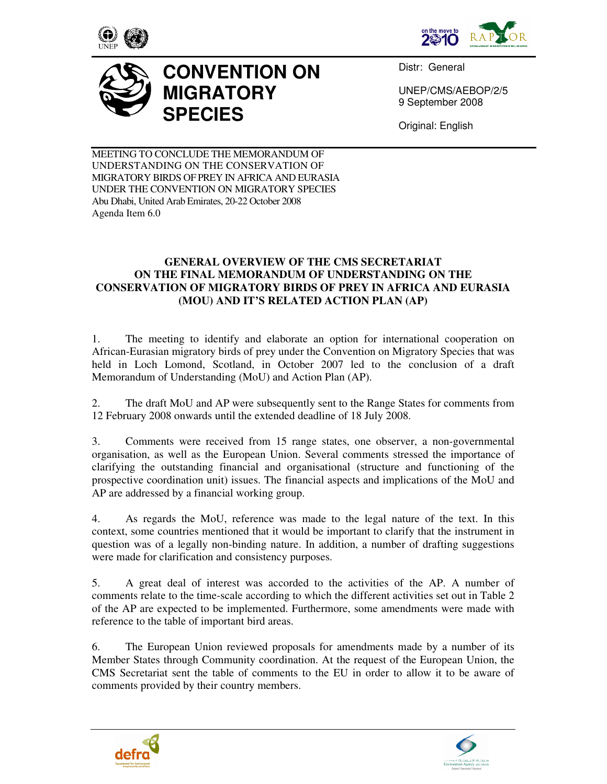





Distr: General

UNEP/CMS/AEBOP/2/5 9 September 2008

Original: English

MEETING TO CONCLUDE THE MEMORANDUM OF UNDERSTANDING ON THE CONSERVATION OF MIGRATORY BIRDS OF PREY IN AFRICA AND EURASIA UNDER THE CONVENTION ON MIGRATORY SPECIES Abu Dhabi, United Arab Emirates, 20-22 October 2008 Agenda Item 6.0

## **GENERAL OVERVIEW OF THE CMS SECRETARIAT ON THE FINAL MEMORANDUM OF UNDERSTANDING ON THE CONSERVATION OF MIGRATORY BIRDS OF PREY IN AFRICA AND EURASIA (MOU) AND IT'S RELATED ACTION PLAN (AP)**

1. The meeting to identify and elaborate an option for international cooperation on African-Eurasian migratory birds of prey under the Convention on Migratory Species that was held in Loch Lomond, Scotland, in October 2007 led to the conclusion of a draft Memorandum of Understanding (MoU) and Action Plan (AP).

2. The draft MoU and AP were subsequently sent to the Range States for comments from 12 February 2008 onwards until the extended deadline of 18 July 2008.

3. Comments were received from 15 range states, one observer, a non-governmental organisation, as well as the European Union. Several comments stressed the importance of clarifying the outstanding financial and organisational (structure and functioning of the prospective coordination unit) issues. The financial aspects and implications of the MoU and AP are addressed by a financial working group.

4. As regards the MoU, reference was made to the legal nature of the text. In this context, some countries mentioned that it would be important to clarify that the instrument in question was of a legally non-binding nature. In addition, a number of drafting suggestions were made for clarification and consistency purposes.

5. A great deal of interest was accorded to the activities of the AP. A number of comments relate to the time-scale according to which the different activities set out in Table 2 of the AP are expected to be implemented. Furthermore, some amendments were made with reference to the table of important bird areas.

6. The European Union reviewed proposals for amendments made by a number of its Member States through Community coordination. At the request of the European Union, the CMS Secretariat sent the table of comments to the EU in order to allow it to be aware of comments provided by their country members.